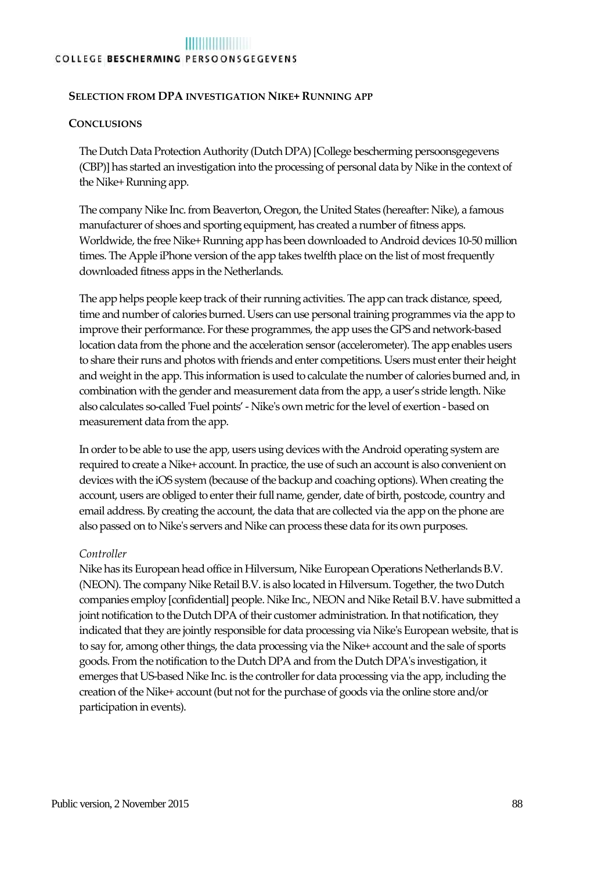#### **SELECTION FROM DPA INVESTIGATION NIKE+ RUNNING APP**

#### **CONCLUSIONS**

The Dutch Data Protection Authority (Dutch DPA) [College bescherming persoonsgegevens (CBP)] has started an investigation into the processing of personal data by Nike in the context of the Nike+ Running app.

The company Nike Inc. from Beaverton, Oregon, the United States (hereafter: Nike), a famous manufacturer of shoes and sporting equipment, has created a number of fitness apps. Worldwide, the free Nike+ Running app has been downloaded to Android devices 10-50 million times. The Apple iPhone version of the app takes twelfth place on the list of most frequently downloaded fitness apps in the Netherlands.

The app helps people keep track of their running activities. The app can track distance, speed, time and number of calories burned. Users can use personal training programmes via the app to improve their performance. For these programmes, the app uses the GPS and network-based location data from the phone and the acceleration sensor (accelerometer). The app enables users to share their runs and photos with friends and enter competitions. Users must enter their height and weight in the app. This information is used to calculate the number of calories burned and, in combination with the gender and measurement data from the app, a user's stride length. Nike also calculates so-called 'Fuel points' - Nike's own metric for the level of exertion - based on measurement data from the app.

In order to be able to use the app, users using devices with the Android operating system are required to create a Nike+ account. In practice, the use of such an account is also convenient on devices with the iOS system (because of the backup and coaching options). When creating the account, users are obliged to enter their full name, gender, date of birth, postcode, country and email address. By creating the account, the data that are collected via the app on the phone are also passed on to Nike's servers and Nike can process these data for its own purposes.

#### *Controller*

Nike has its European head office in Hilversum, Nike European Operations Netherlands B.V. (NEON). The company Nike Retail B.V. is also located in Hilversum. Together, the two Dutch companies employ [confidential] people. Nike Inc., NEON and Nike Retail B.V. have submitted a joint notification to the Dutch DPA of their customer administration. In that notification, they indicated that they are jointly responsible for data processing via Nike's European website, that is to say for, among other things, the data processing via the Nike+ account and the sale of sports goods. From the notification to the Dutch DPA and from the Dutch DPA's investigation, it emerges that US-based Nike Inc. is the controller for data processing via the app, including the creation of the Nike+ account (but not for the purchase of goods via the online store and/or participation in events).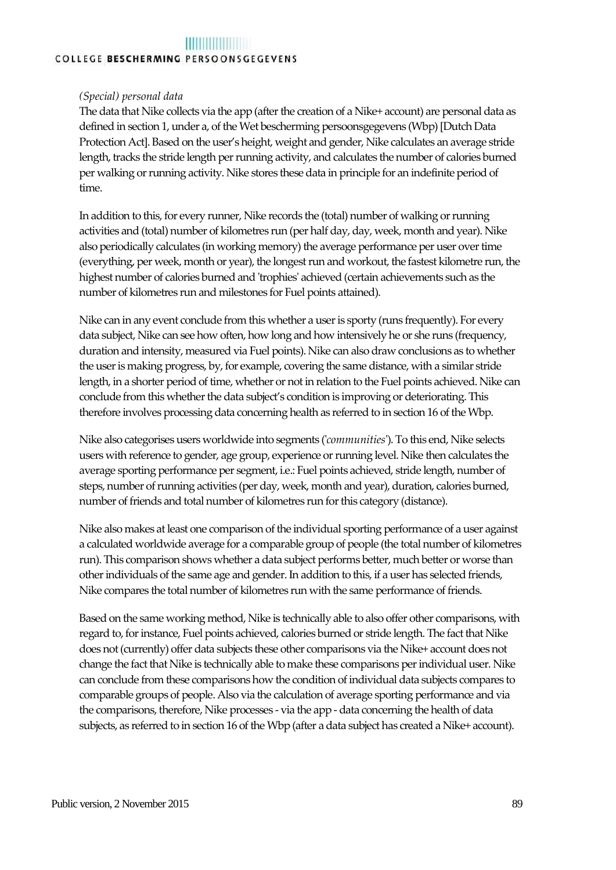#### <u> Timber a shekara ta 1999</u> COLLEGE BESCHERMING PERSOONSGEGEVENS

#### *(Special) personal data*

The data that Nike collects via the app (after the creation of a Nike+ account) are personal data as defined in section 1, under a, of the Wet bescherming persoonsgegevens (Wbp) [Dutch Data Protection Act]. Based on the user's height, weight and gender, Nike calculates an average stride length, tracks the stride length per running activity, and calculates the number of calories burned per walking or running activity. Nike stores these data in principle for an indefinite period of time.

In addition to this, for every runner, Nike records the (total) number of walking or running activities and (total) number of kilometres run (per half day, day, week, month and year). Nike also periodically calculates (in working memory) the average performance per user over time (everything, per week, month or year), the longest run and workout, the fastest kilometre run, the highest number of calories burned and 'trophies' achieved (certain achievements such as the number of kilometres run and milestones for Fuel points attained).

Nike can in any event conclude from this whether a user is sporty (runs frequently). For every data subject, Nike can see how often, how long and how intensively he or she runs (frequency, duration and intensity, measured via Fuel points). Nike can also draw conclusions as to whether the user is making progress, by, for example, covering the same distance, with a similar stride length, in a shorter period of time, whether or not in relation to the Fuel points achieved. Nike can conclude from this whether the data subject's condition is improving or deteriorating. This therefore involves processing data concerning health as referred to in section 16 of the Wbp.

Nike also categorises users worldwide into segments ('*communities*'). To this end, Nike selects users with reference to gender, age group, experience or running level. Nike then calculates the average sporting performance per segment, i.e.: Fuel points achieved, stride length, number of steps, number of running activities (per day, week, month and year), duration, calories burned, number of friends and total number of kilometres run for this category (distance).

Nike also makes at least one comparison of the individual sporting performance of a user against a calculated worldwide average for a comparable group of people (the total number of kilometres run). This comparison shows whether a data subject performs better, much better or worse than other individuals of the same age and gender. In addition to this, if a user has selected friends, Nike compares the total number of kilometres run with the same performance of friends.

Based on the same working method, Nike is technically able to also offer other comparisons, with regard to, for instance, Fuel points achieved, calories burned or stride length. The fact that Nike does not (currently) offer data subjects these other comparisons via the Nike+ account does not change the fact that Nike is technically able to make these comparisons per individual user. Nike can conclude from these comparisons how the condition of individual data subjects compares to comparable groups of people. Also via the calculation of average sporting performance and via the comparisons, therefore, Nike processes - via the app - data concerning the health of data subjects, as referred to in section 16 of the Wbp (after a data subject has created a Nike+ account).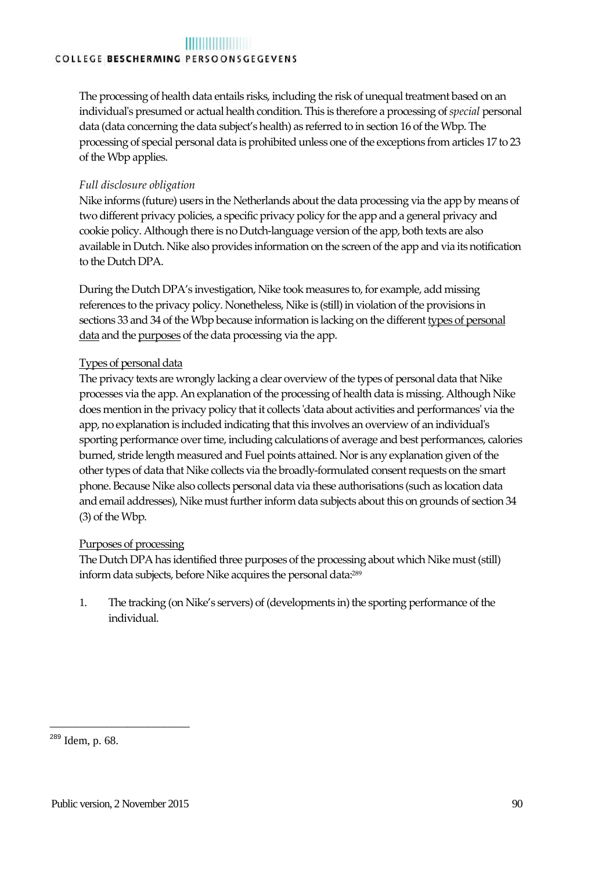The processing of health data entails risks, including the risk of unequal treatment based on an individual's presumed or actual health condition. This is therefore a processing of *special* personal data (data concerning the data subject's health) as referred to in section 16 of the Wbp. The processing of special personal data is prohibited unless one of the exceptions from articles 17 to 23 of the Wbp applies.

#### *Full disclosure obligation*

Nike informs (future) users in the Netherlands about the data processing via the app by means of two different privacy policies, a specific privacy policy for the app and a general privacy and cookie policy. Although there is no Dutch-language version of the app, both texts are also available in Dutch. Nike also provides information on the screen of the app and via its notification to the Dutch DPA.

During the Dutch DPA's investigation, Nike took measures to, for example, add missing references to the privacy policy. Nonetheless, Nike is (still) in violation of the provisions in sections 33 and 34 of the Wbp because information is lacking on the different types of personal data and the purposes of the data processing via the app.

#### Types of personal data

The privacy texts are wrongly lacking a clear overview of the types of personal data that Nike processes via the app. An explanation of the processing of health data is missing. Although Nike does mention in the privacy policy that it collects 'data about activities and performances' via the app, no explanation is included indicating that this involves an overview of an individual's sporting performance over time, including calculations of average and best performances, calories burned, stride length measured and Fuel points attained. Nor is any explanation given of the other types of data that Nike collects via the broadly-formulated consent requests on the smart phone. Because Nike also collects personal data via these authorisations (such as location data and email addresses), Nike must further inform data subjects about this on grounds of section 34 (3) of the Wbp.

#### Purposes of processing

The Dutch DPA has identified three purposes of the processing about which Nike must (still) inform data subjects, before Nike acquires the personal data:<sup>289</sup>

1. The tracking (on Nike's servers) of (developments in) the sporting performance of the individual.

\_\_\_\_\_\_\_\_\_\_\_\_\_\_\_\_\_\_\_\_\_\_\_\_\_\_\_

<sup>289</sup> Idem, p. 68.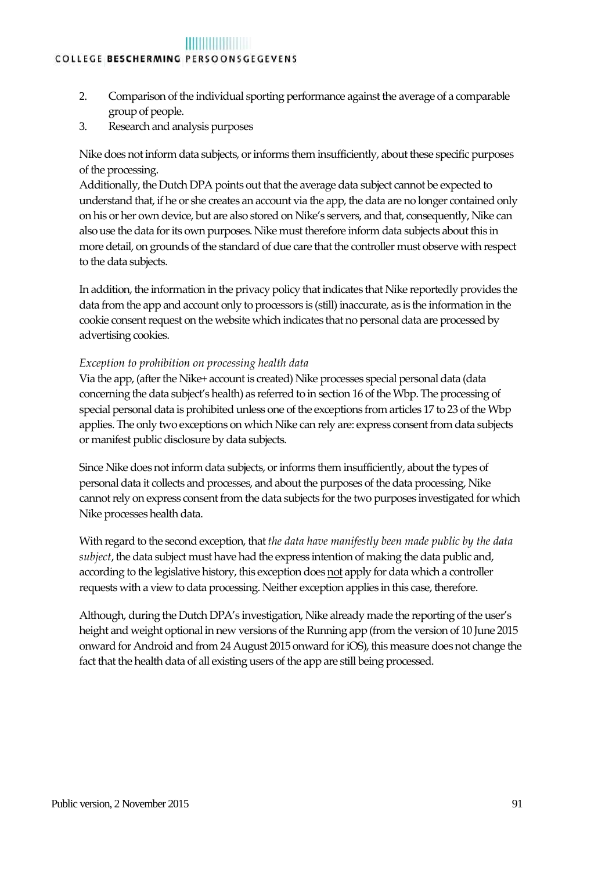- 2. Comparison of the individual sporting performance against the average of a comparable group of people.
- 3. Research and analysis purposes

Nike does not inform data subjects, or informs them insufficiently, about these specific purposes of the processing.

Additionally, the Dutch DPA points out that the average data subject cannot be expected to understand that, if he or she creates an account via the app, the data are no longer contained only on his or her own device, but are also stored on Nike's servers, and that, consequently, Nike can also use the data for its own purposes. Nike must therefore inform data subjects about this in more detail, on grounds of the standard of due care that the controller must observe with respect to the data subjects.

In addition, the information in the privacy policy that indicates that Nike reportedly provides the data from the app and account only to processors is (still) inaccurate, as is the information in the cookie consent request on the website which indicates that no personal data are processed by advertising cookies.

#### *Exception to prohibition on processing health data*

Via the app, (after the Nike+ account is created) Nike processes special personal data (data concerning the data subject's health) as referred to in section 16 of the Wbp. The processing of special personal data is prohibited unless one of the exceptions from articles 17 to 23 of the Wbp applies. The only two exceptions on which Nike can rely are: express consent from data subjects or manifest public disclosure by data subjects.

Since Nike does not inform data subjects, or informs them insufficiently, about the types of personal data it collects and processes, and about the purposes of the data processing, Nike cannot rely on express consent from the data subjects for the two purposes investigated for which Nike processes health data.

With regard to the second exception, that *the data have manifestly been made public by the data subject*, the data subject must have had the express intention of making the data public and, according to the legislative history, this exception does not apply for data which a controller requests with a view to data processing. Neither exception applies in this case, therefore.

Although, during the Dutch DPA's investigation, Nike already made the reporting of the user's height and weight optional in new versions of the Running app (from the version of 10 June 2015 onward for Android and from 24 August 2015 onward for iOS), this measure does not change the fact that the health data of all existing users of the app are still being processed.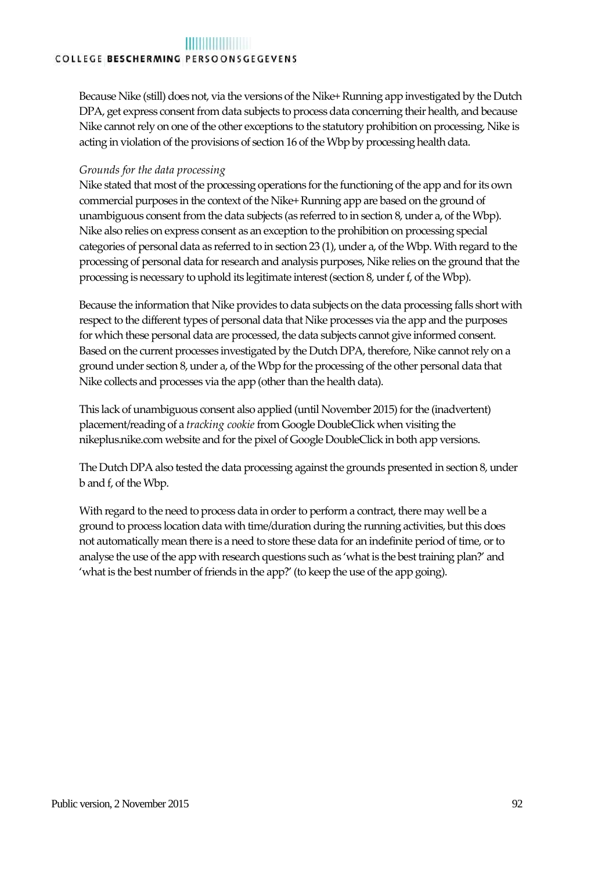Because Nike (still) does not, via the versions of the Nike+ Running app investigated by the Dutch DPA, get express consent from data subjects to process data concerning their health, and because Nike cannot rely on one of the other exceptions to the statutory prohibition on processing, Nike is acting in violation of the provisions of section 16 of the Wbp by processing health data.

#### *Grounds for the data processing*

Nike stated that most of the processing operations for the functioning of the app and for its own commercial purposes in the context of the Nike+ Running app are based on the ground of unambiguous consent from the data subjects (as referred to in section 8, under a, of the Wbp). Nike also relies on express consent as an exception to the prohibition on processing special categories of personal data as referred to in section 23 (1), under a, of the Wbp. With regard to the processing of personal data for research and analysis purposes, Nike relies on the ground that the processing is necessary to uphold its legitimate interest (section 8, under f, of the Wbp).

Because the information that Nike provides to data subjects on the data processing falls short with respect to the different types of personal data that Nike processes via the app and the purposes for which these personal data are processed, the data subjects cannot give informed consent. Based on the current processes investigated by the Dutch DPA, therefore, Nike cannot rely on a ground under section 8, under a, of the Wbp for the processing of the other personal data that Nike collects and processes via the app (other than the health data).

This lack of unambiguous consent also applied (until November 2015) for the (inadvertent) placement/reading of a *tracking cookie* from Google DoubleClick when visiting the nikeplus.nike.com website and for the pixel of Google DoubleClick in both app versions.

The Dutch DPA also tested the data processing against the grounds presented in section 8, under b and f, of the Wbp.

With regard to the need to process data in order to perform a contract, there may well be a ground to process location data with time/duration during the running activities, but this does not automatically mean there is a need to store these data for an indefinite period of time, or to analyse the use of the app with research questions such as 'what is the best training plan?' and 'what is the best number of friends in the app?' (to keep the use of the app going).